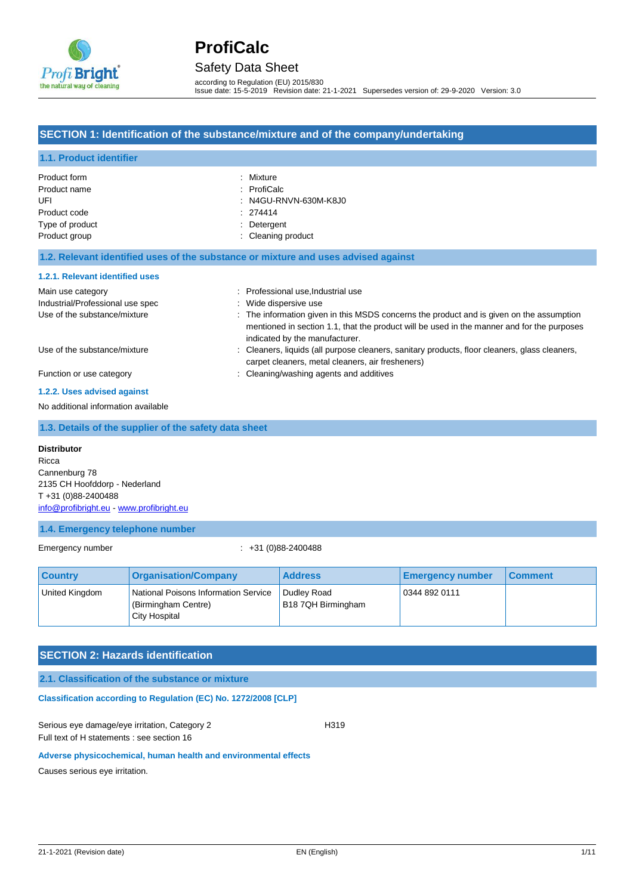

Safety Data Sheet

according to Regulation (EU) 2015/830 Issue date: 15-5-2019 Revision date: 21-1-2021 Supersedes version of: 29-9-2020 Version: 3.0

## **SECTION 1: Identification of the substance/mixture and of the company/undertaking**

| 1.1. Product identifier             |                                                                                                                                                                                                                          |
|-------------------------------------|--------------------------------------------------------------------------------------------------------------------------------------------------------------------------------------------------------------------------|
| Product form                        | Mixture                                                                                                                                                                                                                  |
| Product name                        | : ProfiCalc                                                                                                                                                                                                              |
| UFI                                 | : N4GU-RNVN-630M-K8J0                                                                                                                                                                                                    |
| Product code                        | 274414                                                                                                                                                                                                                   |
| Type of product                     | Detergent                                                                                                                                                                                                                |
| Product group                       | : Cleaning product                                                                                                                                                                                                       |
|                                     | 1.2. Relevant identified uses of the substance or mixture and uses advised against                                                                                                                                       |
| 1.2.1. Relevant identified uses     |                                                                                                                                                                                                                          |
| Main use category                   | : Professional use, Industrial use                                                                                                                                                                                       |
| Industrial/Professional use spec    | : Wide dispersive use                                                                                                                                                                                                    |
| Use of the substance/mixture        | : The information given in this MSDS concerns the product and is given on the assumption<br>mentioned in section 1.1, that the product will be used in the manner and for the purposes<br>indicated by the manufacturer. |
| Use of the substance/mixture        | : Cleaners, liquids (all purpose cleaners, sanitary products, floor cleaners, glass cleaners,<br>carpet cleaners, metal cleaners, air fresheners)                                                                        |
| Function or use category            | : Cleaning/washing agents and additives                                                                                                                                                                                  |
| 1.2.2. Uses advised against         |                                                                                                                                                                                                                          |
| No additional information available |                                                                                                                                                                                                                          |

### **1.3. Details of the supplier of the safety data sheet**

#### **Distributor**

Ricca Cannenburg 78 2135 CH Hoofddorp - Nederland T +31 (0)88-2400488 [info@profibright.eu](mailto:info@profibright.eu) - <www.profibright.eu>

### **1.4. Emergency telephone number**

Emergency number : +31 (0)88-2400488

| <b>Country</b> | <b>Organisation/Company</b>                                                  | <b>Address</b>                    | <b>Emergency number</b> | l Comment |
|----------------|------------------------------------------------------------------------------|-----------------------------------|-------------------------|-----------|
| United Kingdom | National Poisons Information Service<br>(Birmingham Centre)<br>City Hospital | Dudley Road<br>B18 7QH Birmingham | 0344 892 0111           |           |

## **SECTION 2: Hazards identification**

**2.1. Classification of the substance or mixture**

**Classification according to Regulation (EC) No. 1272/2008 [CLP]** 

Serious eye damage/eye irritation, Category 2 H319 Full text of H statements : see section 16

#### **Adverse physicochemical, human health and environmental effects**

Causes serious eye irritation.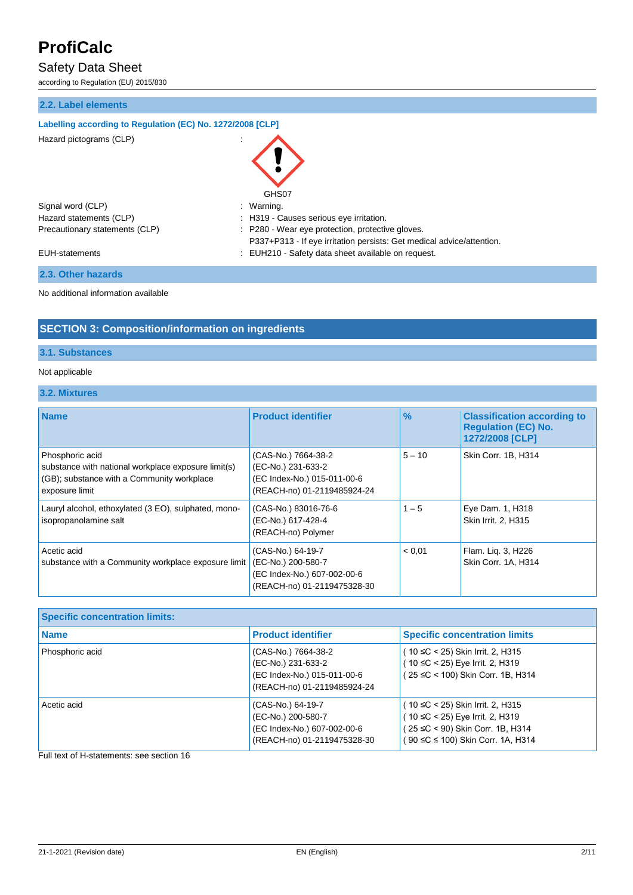# Safety Data Sheet

according to Regulation (EU) 2015/830

## **2.2. Label elements**

## **Labelling according to Regulation (EC) No. 1272/2008 [CLP]**

 $\blacksquare$  Hazard pictograms  $(C \rvert P)$  :

| Hazaru pictugrams (GLF)        | $\cdot$                                                                                                                   |
|--------------------------------|---------------------------------------------------------------------------------------------------------------------------|
|                                | GHS07                                                                                                                     |
| Signal word (CLP)              | Warning.<br>÷                                                                                                             |
| Hazard statements (CLP)        | : H319 - Causes serious eye irritation.                                                                                   |
| Precautionary statements (CLP) | : P280 - Wear eye protection, protective gloves.<br>P337+P313 - If eye irritation persists: Get medical advice/attention. |
| <b>EUH-statements</b>          | : EUH210 - Safety data sheet available on request.                                                                        |

## **2.3. Other hazards**

No additional information available

## **SECTION 3: Composition/information on ingredients**

## **3.1. Substances**

### Not applicable

## **3.2. Mixtures**

| <b>Name</b>                                                                                                                            | <b>Product identifier</b>                                                                               | $\frac{9}{6}$ | <b>Classification according to</b><br><b>Regulation (EC) No.</b><br>1272/2008 [CLP] |
|----------------------------------------------------------------------------------------------------------------------------------------|---------------------------------------------------------------------------------------------------------|---------------|-------------------------------------------------------------------------------------|
| Phosphoric acid<br>substance with national workplace exposure limit(s)<br>(GB); substance with a Community workplace<br>exposure limit | (CAS-No.) 7664-38-2<br>(EC-No.) 231-633-2<br>(EC Index-No.) 015-011-00-6<br>(REACH-no) 01-2119485924-24 | $5 - 10$      | Skin Corr. 1B, H314                                                                 |
| Lauryl alcohol, ethoxylated (3 EO), sulphated, mono-<br>isopropanolamine salt                                                          | (CAS-No.) 83016-76-6<br>(EC-No.) 617-428-4<br>(REACH-no) Polymer                                        | $1 - 5$       | Eye Dam. 1, H318<br>Skin Irrit. 2, H315                                             |
| Acetic acid<br>substance with a Community workplace exposure limit                                                                     | (CAS-No.) 64-19-7<br>(EC-No.) 200-580-7<br>(EC Index-No.) 607-002-00-6<br>(REACH-no) 01-2119475328-30   | < 0.01        | Flam. Lig. 3, H226<br>Skin Corr. 1A, H314                                           |

| <b>Specific concentration limits:</b> |                                                                                                         |                                                                                                                                             |
|---------------------------------------|---------------------------------------------------------------------------------------------------------|---------------------------------------------------------------------------------------------------------------------------------------------|
| <b>Name</b>                           | <b>Product identifier</b>                                                                               | <b>Specific concentration limits</b>                                                                                                        |
| Phosphoric acid                       | (CAS-No.) 7664-38-2<br>(EC-No.) 231-633-2<br>(EC Index-No.) 015-011-00-6<br>(REACH-no) 01-2119485924-24 | ( 10 ≤C < 25) Skin Irrit. 2, H315<br>10 ≤C < 25) Eye Irrit. 2, H319<br>(25 ≤C < 100) Skin Corr. 1B, H314                                    |
| Acetic acid                           | (CAS-No.) 64-19-7<br>(EC-No.) 200-580-7<br>(EC Index-No.) 607-002-00-6<br>(REACH-no) 01-2119475328-30   | ( 10 ≤C < 25) Skin Irrit. 2, H315<br>10 ≤C < 25) Eye Irrit. 2, H319<br>25 ≤C < 90) Skin Corr. 1B, H314<br>(90 ≤C ≤ 100) Skin Corr. 1A, H314 |

Full text of H-statements: see section 16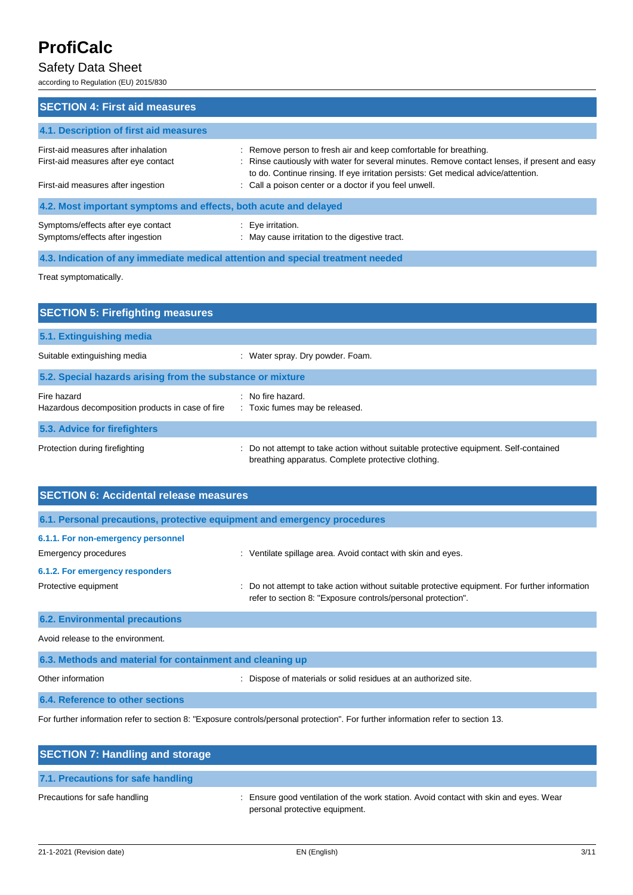# Safety Data Sheet

according to Regulation (EU) 2015/830

| <b>SECTION 4: First aid measures</b>                                                                   |                                                                                                                                                                                                                                                         |
|--------------------------------------------------------------------------------------------------------|---------------------------------------------------------------------------------------------------------------------------------------------------------------------------------------------------------------------------------------------------------|
| 4.1. Description of first aid measures                                                                 |                                                                                                                                                                                                                                                         |
| First-aid measures after inhalation<br>First-aid measures after eye contact                            | : Remove person to fresh air and keep comfortable for breathing.<br>: Rinse cautiously with water for several minutes. Remove contact lenses, if present and easy<br>to do. Continue rinsing. If eye irritation persists: Get medical advice/attention. |
| First-aid measures after ingestion<br>4.2. Most important symptoms and effects, both acute and delayed | : Call a poison center or a doctor if you feel unwell.                                                                                                                                                                                                  |
| Symptoms/effects after eye contact<br>Symptoms/effects after ingestion                                 | $\therefore$ Eye irritation.<br>: May cause irritation to the digestive tract.                                                                                                                                                                          |

**4.3. Indication of any immediate medical attention and special treatment needed**

Treat symptomatically.

| <b>SECTION 5: Firefighting measures</b>                         |                                                                                                                                           |  |  |
|-----------------------------------------------------------------|-------------------------------------------------------------------------------------------------------------------------------------------|--|--|
| 5.1. Extinguishing media                                        |                                                                                                                                           |  |  |
| Suitable extinguishing media                                    | : Water spray. Dry powder. Foam.                                                                                                          |  |  |
| 5.2. Special hazards arising from the substance or mixture      |                                                                                                                                           |  |  |
| Fire hazard<br>Hazardous decomposition products in case of fire | $\therefore$ No fire hazard.<br>: Toxic fumes may be released.                                                                            |  |  |
| 5.3. Advice for firefighters                                    |                                                                                                                                           |  |  |
| Protection during firefighting                                  | Do not attempt to take action without suitable protective equipment. Self-contained<br>breathing apparatus. Complete protective clothing. |  |  |

| <b>SECTION 6: Accidental release measures</b>                            |                                                                                                                                                              |  |
|--------------------------------------------------------------------------|--------------------------------------------------------------------------------------------------------------------------------------------------------------|--|
| 6.1. Personal precautions, protective equipment and emergency procedures |                                                                                                                                                              |  |
| 6.1.1. For non-emergency personnel                                       |                                                                                                                                                              |  |
| Emergency procedures<br>6.1.2. For emergency responders                  | : Ventilate spillage area. Avoid contact with skin and eyes.                                                                                                 |  |
| Protective equipment                                                     | Do not attempt to take action without suitable protective equipment. For further information<br>refer to section 8: "Exposure controls/personal protection". |  |
| <b>6.2. Environmental precautions</b>                                    |                                                                                                                                                              |  |
| Avoid release to the environment.                                        |                                                                                                                                                              |  |
| 6.3. Methods and material for containment and cleaning up                |                                                                                                                                                              |  |
| Other information                                                        | Dispose of materials or solid residues at an authorized site.                                                                                                |  |

## **6.4. Reference to other sections**

For further information refer to section 8: "Exposure controls/personal protection". For further information refer to section 13.

| <b>SECTION 7: Handling and storage</b> |                                                                                                                         |
|----------------------------------------|-------------------------------------------------------------------------------------------------------------------------|
| 7.1. Precautions for safe handling     |                                                                                                                         |
| Precautions for safe handling          | : Ensure good ventilation of the work station. Avoid contact with skin and eyes. Wear<br>personal protective equipment. |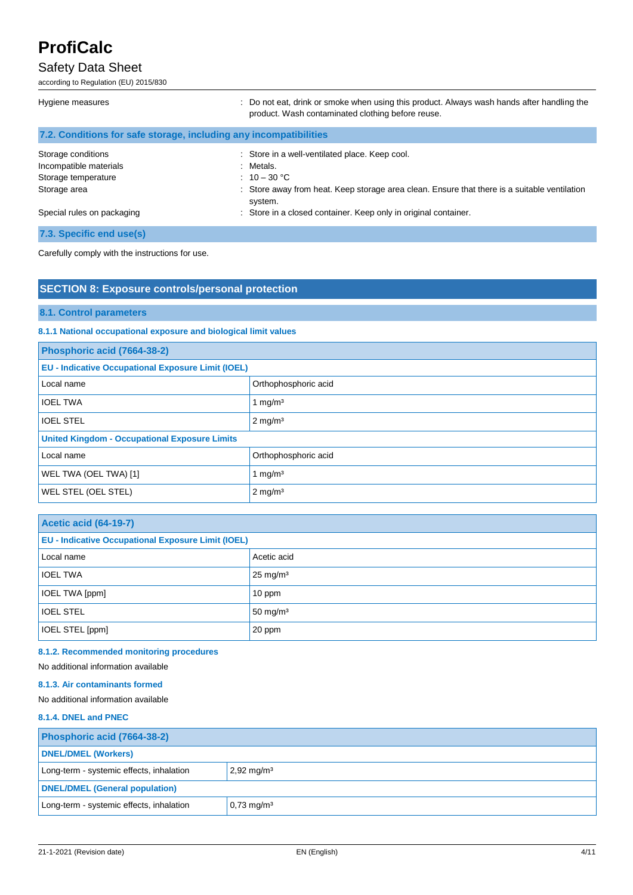## Safety Data Sheet

according to Regulation (EU) 2015/830

| Hygiene measures                                                    | : Do not eat, drink or smoke when using this product. Always wash hands after handling the<br>product. Wash contaminated clothing before reuse.                            |
|---------------------------------------------------------------------|----------------------------------------------------------------------------------------------------------------------------------------------------------------------------|
| 7.2. Conditions for safe storage, including any incompatibilities   |                                                                                                                                                                            |
| Storage conditions<br>Incompatible materials<br>Storage temperature | : Store in a well-ventilated place. Keep cool.<br>: Metals.<br>: $10 - 30$ °C                                                                                              |
| Storage area<br>Special rules on packaging                          | : Store away from heat. Keep storage area clean. Ensure that there is a suitable ventilation<br>system.<br>: Store in a closed container. Keep only in original container. |

**7.3. Specific end use(s)**

Carefully comply with the instructions for use.

## **SECTION 8: Exposure controls/personal protection**

## **8.1. Control parameters**

## **8.1.1 National occupational exposure and biological limit values**

| Phosphoric acid (7664-38-2)                               |                      |  |
|-----------------------------------------------------------|----------------------|--|
| <b>EU - Indicative Occupational Exposure Limit (IOEL)</b> |                      |  |
| Local name                                                | Orthophosphoric acid |  |
| <b>IOEL TWA</b>                                           | 1 mg/m $3$           |  |
| <b>IOEL STEL</b>                                          | $2 \text{ mg/m}^3$   |  |
| <b>United Kingdom - Occupational Exposure Limits</b>      |                      |  |
| Local name                                                | Orthophosphoric acid |  |
| WEL TWA (OEL TWA) [1]                                     | 1 mg/ $m3$           |  |
| WEL STEL (OEL STEL)                                       | $2 \text{ mg/m}^3$   |  |

| <b>Acetic acid (64-19-7)</b>                              |                     |  |
|-----------------------------------------------------------|---------------------|--|
| <b>EU - Indicative Occupational Exposure Limit (IOEL)</b> |                     |  |
| Local name                                                | Acetic acid         |  |
| <b>IOEL TWA</b>                                           | $25 \text{ mg/m}^3$ |  |
| IOEL TWA [ppm]                                            | 10 ppm              |  |
| <b>IOEL STEL</b>                                          | $50 \text{ mg/m}^3$ |  |
| IOEL STEL [ppm]                                           | 20 ppm              |  |

# **8.1.2. Recommended monitoring procedures**

No additional information available

## **8.1.3. Air contaminants formed**

No additional information available

## **8.1.4. DNEL and PNEC**

| Phosphoric acid (7664-38-2)              |                          |
|------------------------------------------|--------------------------|
| <b>DNEL/DMEL (Workers)</b>               |                          |
| Long-term - systemic effects, inhalation | $2,92 \,\mathrm{mg/m^3}$ |
| <b>DNEL/DMEL (General population)</b>    |                          |
| Long-term - systemic effects, inhalation | $0,73 \text{ mg/m}^3$    |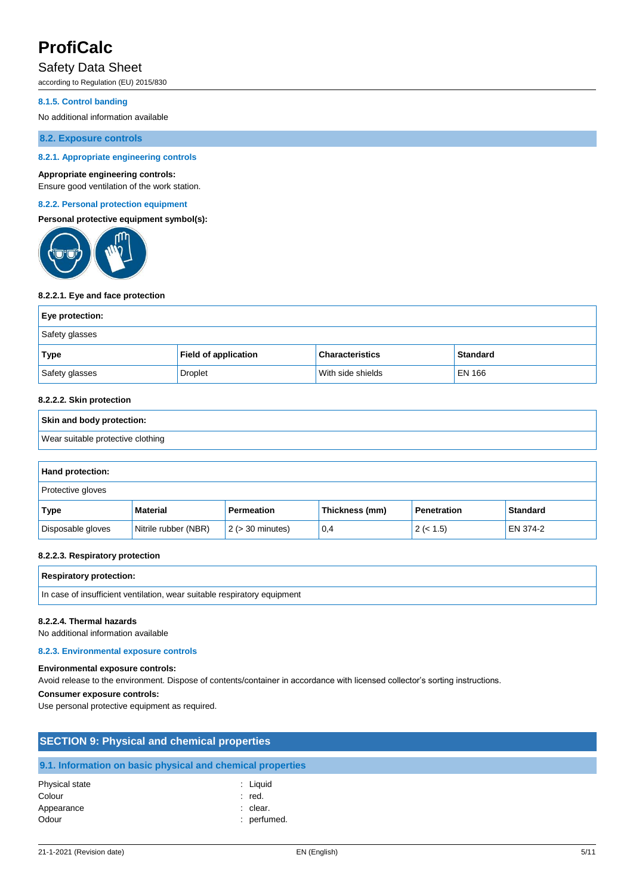# Safety Data Sheet

according to Regulation (EU) 2015/830

#### **8.1.5. Control banding**

No additional information available

**8.2. Exposure controls**

### **8.2.1. Appropriate engineering controls**

#### **Appropriate engineering controls:**

Ensure good ventilation of the work station.

#### **8.2.2. Personal protection equipment**

**Personal protective equipment symbol(s):**



#### **8.2.2.1. Eye and face protection**

| Eye protection: |                             |                        |                 |
|-----------------|-----------------------------|------------------------|-----------------|
| Safety glasses  |                             |                        |                 |
| Type            | <b>Field of application</b> | <b>Characteristics</b> | <b>Standard</b> |
| Safety glasses  | <b>Droplet</b>              | With side shields      | EN 166          |

#### **8.2.2.2. Skin protection**

# **Skin and body protection:** Wear suitable protective clothing

| Hand protection:         |                      |                       |                |                    |                 |
|--------------------------|----------------------|-----------------------|----------------|--------------------|-----------------|
| <b>Protective gloves</b> |                      |                       |                |                    |                 |
| Type                     | <b>Material</b>      | Permeation            | Thickness (mm) | <b>Penetration</b> | <b>Standard</b> |
| Disposable gloves        | Nitrile rubber (NBR) | $2$ ( $>$ 30 minutes) | 0,4            | 2 (< 1.5)          | EN 374-2        |

#### **8.2.2.3. Respiratory protection**

| <b>Respiratory protection:</b>                                           |
|--------------------------------------------------------------------------|
| In case of insufficient ventilation, wear suitable respiratory equipment |

#### **8.2.2.4. Thermal hazards**

No additional information available

#### **8.2.3. Environmental exposure controls**

**Environmental exposure controls:**

### Avoid release to the environment. Dispose of contents/container in accordance with licensed collector's sorting instructions.

#### **Consumer exposure controls:**

Use personal protective equipment as required.

| <b>SECTION 9: Physical and chemical properties</b>         |                      |  |
|------------------------------------------------------------|----------------------|--|
| 9.1. Information on basic physical and chemical properties |                      |  |
| Physical state<br>Colour                                   | : Liguid<br>$:$ red. |  |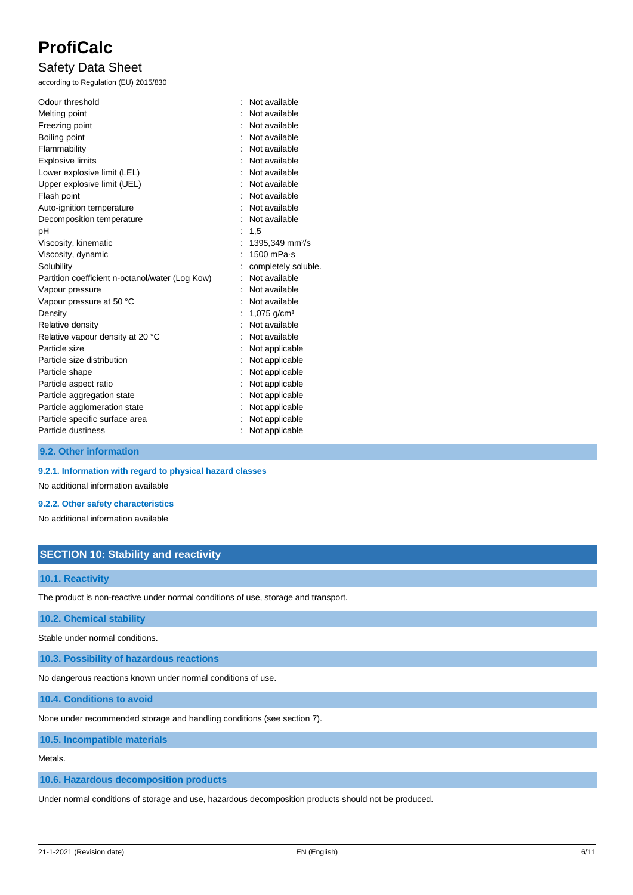# Safety Data Sheet

according to Regulation (EU) 2015/830

| Odour threshold                                 | Not available               |
|-------------------------------------------------|-----------------------------|
| Melting point                                   | Not available               |
| Freezing point                                  | Not available               |
| Boiling point                                   | Not available               |
| Flammability                                    | Not available               |
| <b>Explosive limits</b>                         | Not available               |
| Lower explosive limit (LEL)                     | Not available               |
| Upper explosive limit (UEL)                     | Not available               |
| Flash point                                     | Not available               |
| Auto-ignition temperature                       | Not available               |
| Decomposition temperature                       | Not available               |
| pH                                              | 1,5                         |
| Viscosity, kinematic                            | 1395,349 mm <sup>2</sup> /s |
| Viscosity, dynamic                              | 1500 mPa-s                  |
| Solubility                                      | completely soluble.         |
| Partition coefficient n-octanol/water (Log Kow) | Not available               |
| Vapour pressure                                 | Not available               |
| Vapour pressure at 50 °C                        | Not available               |
| Density                                         | 1,075 $q/cm3$               |
| Relative density                                | Not available               |
| Relative vapour density at 20 °C                | Not available               |
| Particle size                                   | Not applicable              |
| Particle size distribution                      | Not applicable              |
| Particle shape                                  | Not applicable              |
| Particle aspect ratio                           | Not applicable              |
| Particle aggregation state                      | Not applicable              |
| Particle agglomeration state                    | Not applicable              |
| Particle specific surface area                  | Not applicable              |
| Particle dustiness                              | Not applicable              |
|                                                 |                             |

**9.2. Other information**

### **9.2.1. Information with regard to physical hazard classes**

No additional information available

#### **9.2.2. Other safety characteristics**

No additional information available

## **SECTION 10: Stability and reactivity**

## **10.1. Reactivity**

The product is non-reactive under normal conditions of use, storage and transport.

#### **10.2. Chemical stability**

Stable under normal conditions.

**10.3. Possibility of hazardous reactions**

No dangerous reactions known under normal conditions of use.

**10.4. Conditions to avoid**

None under recommended storage and handling conditions (see section 7).

**10.5. Incompatible materials**

Metals.

### **10.6. Hazardous decomposition products**

Under normal conditions of storage and use, hazardous decomposition products should not be produced.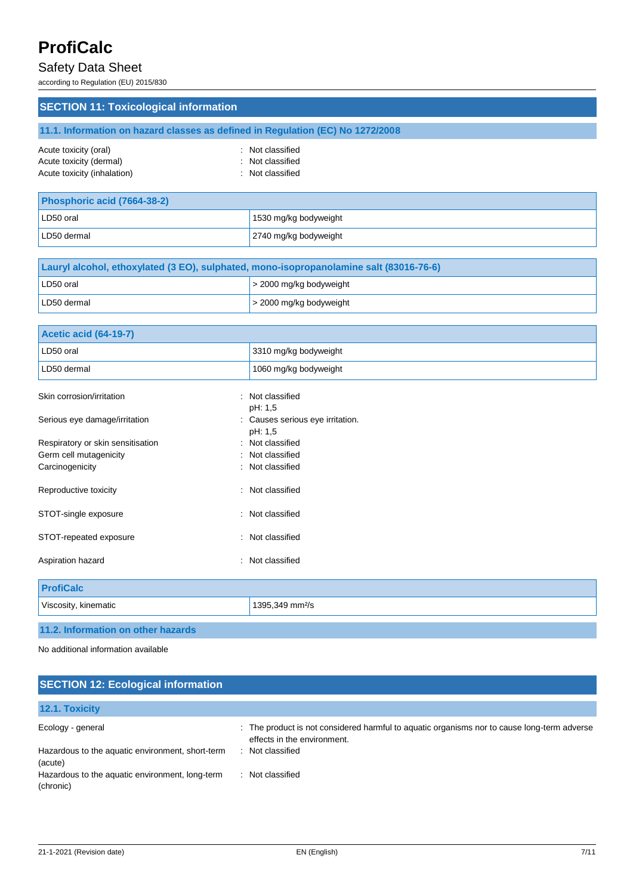# Safety Data Sheet

according to Regulation (EU) 2015/830

| <b>SECTION 11: Toxicological information</b> |                                                                                |  |
|----------------------------------------------|--------------------------------------------------------------------------------|--|
|                                              | 11.1. Information on hazard classes as defined in Regulation (EC) No 1272/2008 |  |
| Acute toxicity (oral)                        | : Not classified                                                               |  |
| Acute toxicity (dermal)                      | : Not classified                                                               |  |
| Acute toxicity (inhalation)                  | : Not classified                                                               |  |
|                                              |                                                                                |  |
| Phosphoric acid (7664-38-2)                  |                                                                                |  |

| LD50 oral   | 1530 mg/kg bodyweight |
|-------------|-----------------------|
| LD50 dermal | 2740 mg/kg bodyweight |

| Lauryl alcohol, ethoxylated (3 EO), sulphated, mono-isopropanolamine salt (83016-76-6) |                              |  |
|----------------------------------------------------------------------------------------|------------------------------|--|
| LD50 oral                                                                              | $\geq$ 2000 mg/kg bodyweight |  |
| LD50 dermal                                                                            | $\geq$ 2000 mg/kg bodyweight |  |

| <b>Acetic acid (64-19-7)</b>       |                                             |
|------------------------------------|---------------------------------------------|
| LD50 oral                          | 3310 mg/kg bodyweight                       |
| LD50 dermal                        | 1060 mg/kg bodyweight                       |
| Skin corrosion/irritation          | : Not classified<br>pH: 1,5                 |
| Serious eye damage/irritation      | : Causes serious eye irritation.<br>pH: 1,5 |
| Respiratory or skin sensitisation  | : Not classified                            |
| Germ cell mutagenicity             | : Not classified                            |
| Carcinogenicity                    | : Not classified                            |
| Reproductive toxicity              | : Not classified                            |
| STOT-single exposure               | : Not classified                            |
| STOT-repeated exposure             | Not classified<br>÷                         |
| Aspiration hazard                  | : Not classified                            |
| <b>ProfiCalc</b>                   |                                             |
| Viscosity, kinematic               | 1395,349 mm <sup>2</sup> /s                 |
| 11.2. Information on other hazards |                                             |

No additional information available

# **SECTION 12: Ecological information**

| <b>12.1. Toxicity</b>                                        |                                                                                                                            |
|--------------------------------------------------------------|----------------------------------------------------------------------------------------------------------------------------|
| Ecology - general                                            | : The product is not considered harmful to aquatic organisms nor to cause long-term adverse<br>effects in the environment. |
| Hazardous to the aquatic environment, short-term<br>(acute)  | : Not classified                                                                                                           |
| Hazardous to the aquatic environment, long-term<br>(chronic) | Not classified                                                                                                             |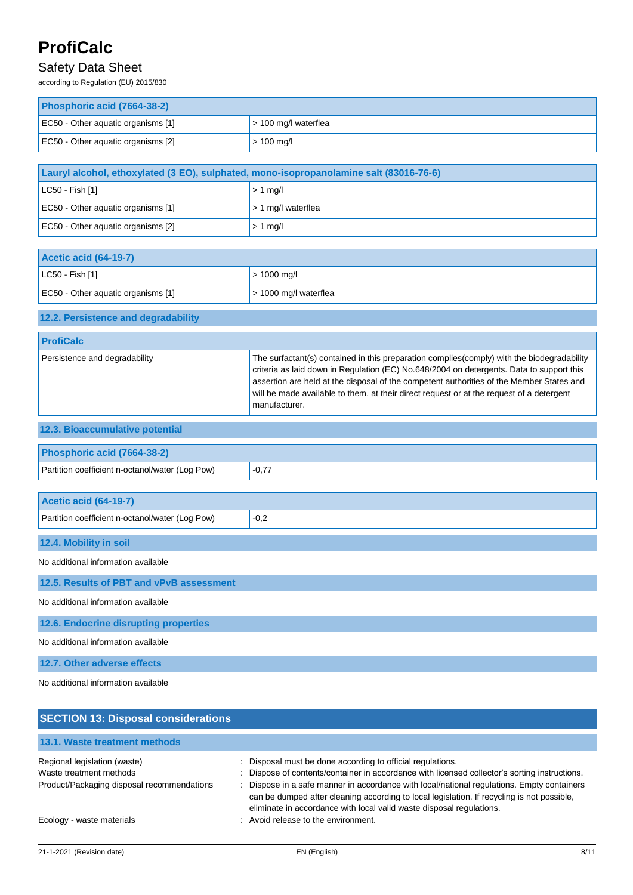# Safety Data Sheet

according to Regulation (EU) 2015/830

| Phosphoric acid (7664-38-2)        |                        |  |
|------------------------------------|------------------------|--|
| EC50 - Other aquatic organisms [1] | $>$ 100 mg/l waterflea |  |
| EC50 - Other aguatic organisms [2] | $> 100$ mg/l           |  |

| Lauryl alcohol, ethoxylated (3 EO), sulphated, mono-isopropanolamine salt (83016-76-6) |           |  |
|----------------------------------------------------------------------------------------|-----------|--|
| $ $ LC50 - Fish [1]<br>$> 1$ mg/                                                       |           |  |
| EC50 - Other aquatic organisms [1]<br>$1 > 1$ mg/l waterflea                           |           |  |
| EC50 - Other aguatic organisms [2]                                                     | $> 1$ mg/ |  |

| <b>Acetic acid (64-19-7)</b>       |                       |  |
|------------------------------------|-----------------------|--|
| $\vert$ LC50 - Fish [1]            | $> 1000$ mg/l         |  |
| EC50 - Other aquatic organisms [1] | > 1000 mg/l waterflea |  |

## **12.2. Persistence and degradability**

| The surfactant(s) contained in this preparation complies (comply) with the biodegradability<br>Persistence and degradability<br>criteria as laid down in Regulation (EC) No.648/2004 on detergents. Data to support this<br>assertion are held at the disposal of the competent authorities of the Member States and<br>will be made available to them, at their direct request or at the request of a detergent | <b>ProfiCalc</b> |               |
|------------------------------------------------------------------------------------------------------------------------------------------------------------------------------------------------------------------------------------------------------------------------------------------------------------------------------------------------------------------------------------------------------------------|------------------|---------------|
|                                                                                                                                                                                                                                                                                                                                                                                                                  |                  | manufacturer. |

| 12.3. Bioaccumulative potential |
|---------------------------------|
|                                 |
| Phosphoric acid (7664-38-2)     |

| Partition coefficient n-octanol/water (Log Pow) | $-0,77$ |
|-------------------------------------------------|---------|
|                                                 |         |
| <b>Acetic acid (64-19-7)</b>                    |         |
| Partition coefficient n-octanol/water (Log Pow) | $-0,2$  |

**12.4. Mobility in soil**

No additional information available

**12.5. Results of PBT and vPvB assessment**

No additional information available

**12.6. Endocrine disrupting properties**

No additional information available

**12.7. Other adverse effects**

No additional information available

| <b>SECTION 13: Disposal considerations</b>                                                            |                                                                                                                                                                                                                                                                                                                                                                                                                           |  |  |  |
|-------------------------------------------------------------------------------------------------------|---------------------------------------------------------------------------------------------------------------------------------------------------------------------------------------------------------------------------------------------------------------------------------------------------------------------------------------------------------------------------------------------------------------------------|--|--|--|
| 13.1. Waste treatment methods                                                                         |                                                                                                                                                                                                                                                                                                                                                                                                                           |  |  |  |
| Regional legislation (waste)<br>Waste treatment methods<br>Product/Packaging disposal recommendations | Disposal must be done according to official regulations.<br>Dispose of contents/container in accordance with licensed collector's sorting instructions.<br>Dispose in a safe manner in accordance with local/national regulations. Empty containers<br>can be dumped after cleaning according to local legislation. If recycling is not possible,<br>eliminate in accordance with local valid waste disposal regulations. |  |  |  |
| Ecology - waste materials                                                                             | : Avoid release to the environment.                                                                                                                                                                                                                                                                                                                                                                                       |  |  |  |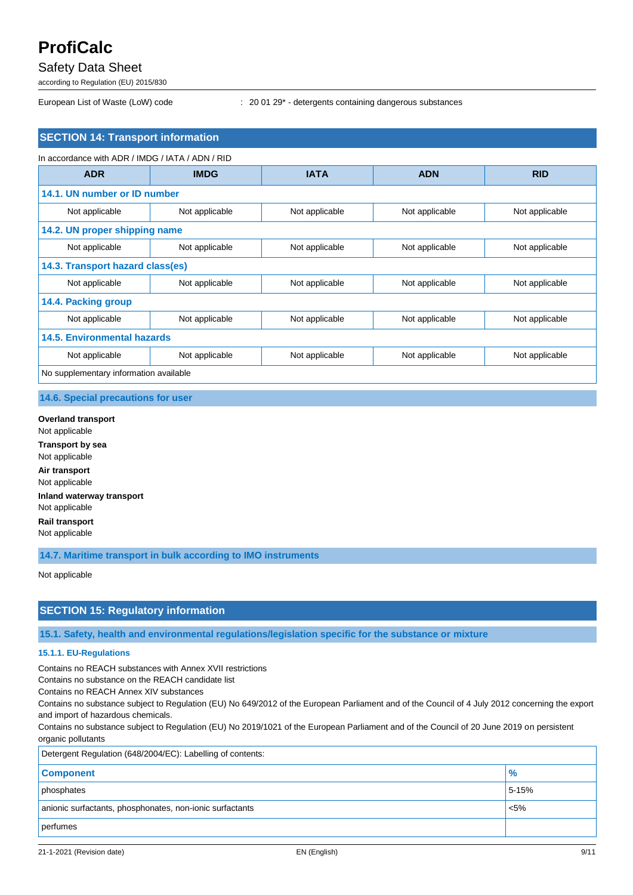# Safety Data Sheet

according to Regulation (EU) 2015/830

European List of Waste (LoW) code : 20 01 29\* - detergents containing dangerous substances

## **SECTION 14: Transport information**

| In accordance with ADR / IMDG / IATA / ADN / RID |                |                |                |                |
|--------------------------------------------------|----------------|----------------|----------------|----------------|
| <b>ADR</b>                                       | <b>IMDG</b>    | <b>IATA</b>    | <b>ADN</b>     | <b>RID</b>     |
| 14.1. UN number or ID number                     |                |                |                |                |
| Not applicable                                   | Not applicable | Not applicable | Not applicable | Not applicable |
| 14.2. UN proper shipping name                    |                |                |                |                |
| Not applicable                                   | Not applicable | Not applicable | Not applicable | Not applicable |
| 14.3. Transport hazard class(es)                 |                |                |                |                |
| Not applicable                                   | Not applicable | Not applicable | Not applicable | Not applicable |
| 14.4. Packing group                              |                |                |                |                |
| Not applicable                                   | Not applicable | Not applicable | Not applicable | Not applicable |
| <b>14.5. Environmental hazards</b>               |                |                |                |                |
| Not applicable                                   | Not applicable | Not applicable | Not applicable | Not applicable |
| No supplementary information available           |                |                |                |                |

**14.6. Special precautions for user**

**Overland transport** Not applicable **Transport by sea** Not applicable **Air transport** Not applicable **Inland waterway transport** Not applicable **Rail transport** Not applicable

**14.7. Maritime transport in bulk according to IMO instruments**

Not applicable

## **SECTION 15: Regulatory information**

**15.1. Safety, health and environmental regulations/legislation specific for the substance or mixture**

#### **15.1.1. EU-Regulations**

Contains no REACH substances with Annex XVII restrictions

Contains no substance on the REACH candidate list

Contains no REACH Annex XIV substances

Contains no substance subject to Regulation (EU) No 649/2012 of the European Parliament and of the Council of 4 July 2012 concerning the export and import of hazardous chemicals.

Contains no substance subject to Regulation (EU) No 2019/1021 of the European Parliament and of the Council of 20 June 2019 on persistent organic pollutants

| Detergent Regulation (648/2004/EC): Labelling of contents: |         |  |
|------------------------------------------------------------|---------|--|
| <b>Component</b>                                           | $\%$    |  |
| phosphates                                                 | 5-15%   |  |
| anionic surfactants, phosphonates, non-ionic surfactants   | $< 5\%$ |  |
| perfumes                                                   |         |  |
|                                                            |         |  |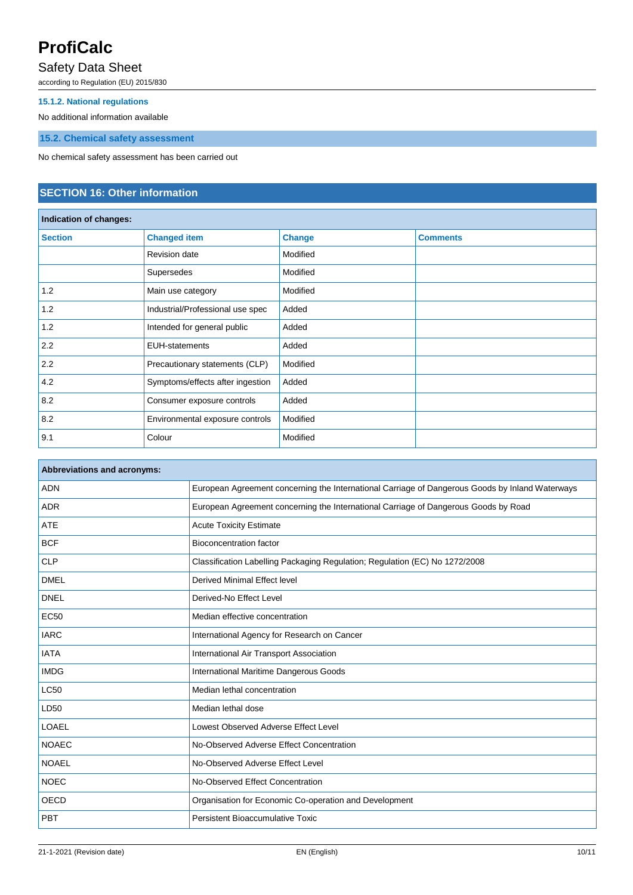# Safety Data Sheet

according to Regulation (EU) 2015/830

### **15.1.2. National regulations**

No additional information available

**15.2. Chemical safety assessment**

No chemical safety assessment has been carried out

# **SECTION 16: Other information**

| Indication of changes: |                                  |               |                 |
|------------------------|----------------------------------|---------------|-----------------|
| <b>Section</b>         | <b>Changed item</b>              | <b>Change</b> | <b>Comments</b> |
|                        | <b>Revision date</b>             | Modified      |                 |
|                        | Supersedes                       | Modified      |                 |
| 1.2                    | Main use category                | Modified      |                 |
| 1.2                    | Industrial/Professional use spec | Added         |                 |
| 1.2                    | Intended for general public      | Added         |                 |
| 2.2                    | <b>EUH-statements</b>            | Added         |                 |
| 2.2                    | Precautionary statements (CLP)   | Modified      |                 |
| 4.2                    | Symptoms/effects after ingestion | Added         |                 |
| 8.2                    | Consumer exposure controls       | Added         |                 |
| 8.2                    | Environmental exposure controls  | Modified      |                 |
| 9.1                    | Colour                           | Modified      |                 |

| <b>Abbreviations and acronyms:</b> |                                                                                                 |  |
|------------------------------------|-------------------------------------------------------------------------------------------------|--|
| <b>ADN</b>                         | European Agreement concerning the International Carriage of Dangerous Goods by Inland Waterways |  |
| <b>ADR</b>                         | European Agreement concerning the International Carriage of Dangerous Goods by Road             |  |
| <b>ATE</b>                         | <b>Acute Toxicity Estimate</b>                                                                  |  |
| <b>BCF</b>                         | <b>Bioconcentration factor</b>                                                                  |  |
| <b>CLP</b>                         | Classification Labelling Packaging Regulation; Regulation (EC) No 1272/2008                     |  |
| <b>DMEL</b>                        | Derived Minimal Effect level                                                                    |  |
| <b>DNEL</b>                        | Derived-No Effect Level                                                                         |  |
| <b>EC50</b>                        | Median effective concentration                                                                  |  |
| <b>IARC</b>                        | International Agency for Research on Cancer                                                     |  |
| <b>IATA</b>                        | International Air Transport Association                                                         |  |
| <b>IMDG</b>                        | International Maritime Dangerous Goods                                                          |  |
| <b>LC50</b>                        | Median lethal concentration                                                                     |  |
| LD50                               | Median lethal dose                                                                              |  |
| <b>LOAEL</b>                       | Lowest Observed Adverse Effect Level                                                            |  |
| <b>NOAEC</b>                       | No-Observed Adverse Effect Concentration                                                        |  |
| <b>NOAEL</b>                       | No-Observed Adverse Effect Level                                                                |  |
| <b>NOEC</b>                        | No-Observed Effect Concentration                                                                |  |
| <b>OECD</b>                        | Organisation for Economic Co-operation and Development                                          |  |
| PBT                                | <b>Persistent Bioaccumulative Toxic</b>                                                         |  |
|                                    |                                                                                                 |  |